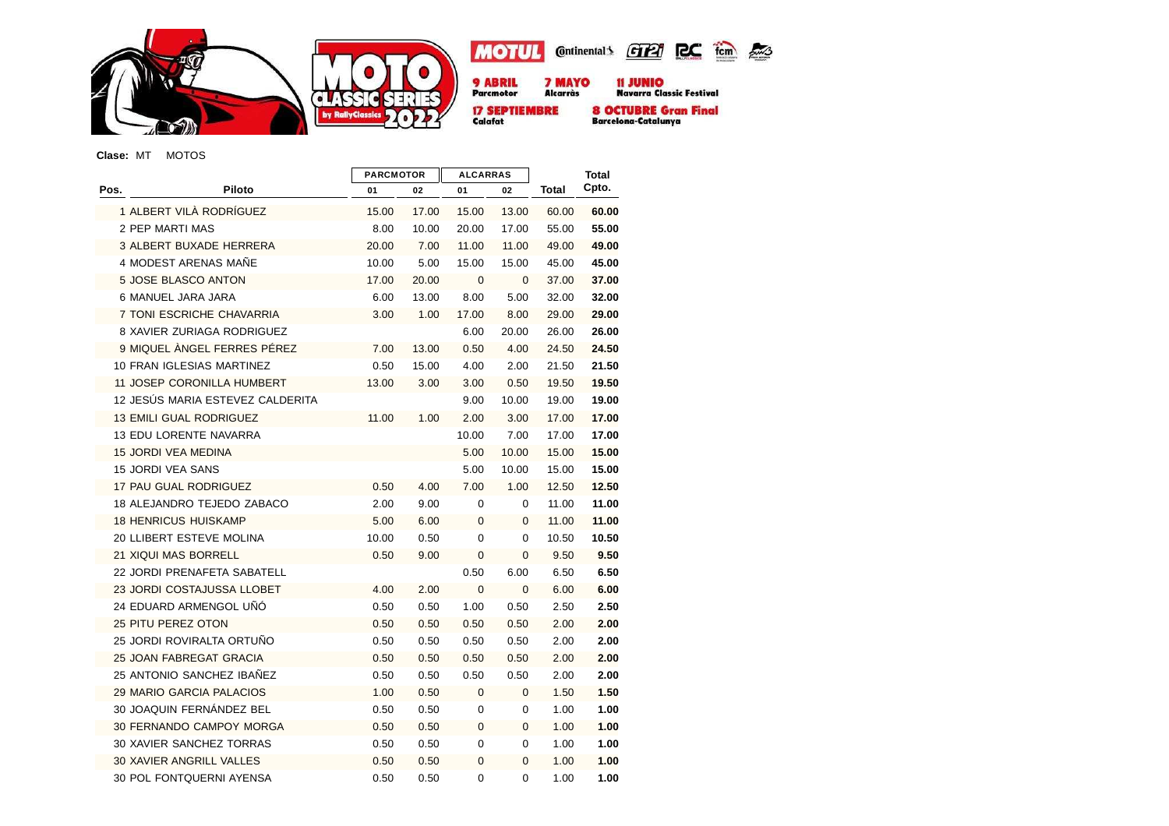



 $\overline{\phantom{a}}$ 

**9 ABRIL**<br>Paramotor



**7 MAYO**<br>Alcarràs

11 JUNIO<br>Navarra Classic Festival

**8 OCTUBRE Gran Final**<br>Barcelona-Catalunya

**Clase:** MT MOTOS

|      |                                    | <b>PARCMOTOR</b> |       | <b>ALCARRAS</b> |              |       | Total |
|------|------------------------------------|------------------|-------|-----------------|--------------|-------|-------|
| Pos. | Piloto                             | 01               | 02    | 01              | 02           | Total | Cpto. |
|      | 1 ALBERT VILÀ RODRÍGUEZ            | 15.00            | 17.00 | 15.00           | 13.00        | 60.00 | 60.00 |
|      | 2 PEP MARTI MAS                    | 8.00             | 10.00 | 20.00           | 17.00        | 55.00 | 55.00 |
|      | <b>3 ALBERT BUXADE HERRERA</b>     | 20.00            | 7.00  | 11.00           | 11.00        | 49.00 | 49.00 |
|      | 4 MODEST ARENAS MAÑE               | 10.00            | 5.00  | 15.00           | 15.00        | 45.00 | 45.00 |
|      | 5 JOSE BLASCO ANTON                | 17.00            | 20.00 | 0               | 0            | 37.00 | 37.00 |
|      | 6 MANUEL JARA JARA                 | 6.00             | 13.00 | 8.00            | 5.00         | 32.00 | 32.00 |
|      | 7 TONI ESCRICHE CHAVARRIA          | 3.00             | 1.00  | 17.00           | 8.00         | 29.00 | 29.00 |
|      | 8 XAVIER ZURIAGA RODRIGUEZ         |                  |       | 6.00            | 20.00        | 26.00 | 26.00 |
|      | 9 MIQUEL ANGEL FERRES PÉREZ        | 7.00             | 13.00 | 0.50            | 4.00         | 24.50 | 24.50 |
|      | 10 FRAN IGLESIAS MARTINEZ          | 0.50             | 15.00 | 4.00            | 2.00         | 21.50 | 21.50 |
|      | <b>11 JOSEP CORONILLA HUMBERT</b>  | 13.00            | 3.00  | 3.00            | 0.50         | 19.50 | 19.50 |
|      | 12 JESÚS MARIA ESTEVEZ CALDERITA   |                  |       | 9.00            | 10.00        | 19.00 | 19.00 |
|      | <b>13 EMILI GUAL RODRIGUEZ</b>     | 11.00            | 1.00  | 2.00            | 3.00         | 17.00 | 17.00 |
|      | 13 EDU LORENTE NAVARRA             |                  |       | 10.00           | 7.00         | 17.00 | 17.00 |
|      | <b>15 JORDI VEA MEDINA</b>         |                  |       | 5.00            | 10.00        | 15.00 | 15.00 |
|      | <b>15 JORDI VEA SANS</b>           |                  |       | 5.00            | 10.00        | 15.00 | 15.00 |
|      | <b>17 PAU GUAL RODRIGUEZ</b>       | 0.50             | 4.00  | 7.00            | 1.00         | 12.50 | 12.50 |
|      | 18 ALEJANDRO TEJEDO ZABACO         | 2.00             | 9.00  | 0               | 0            | 11.00 | 11.00 |
|      | <b>18 HENRICUS HUISKAMP</b>        | 5.00             | 6.00  | 0               | 0            | 11.00 | 11.00 |
|      | 20 LLIBERT ESTEVE MOLINA           | 10.00            | 0.50  | 0               | 0            | 10.50 | 10.50 |
|      | <b>21 XIQUI MAS BORRELL</b>        | 0.50             | 9.00  | 0               | $\mathbf{0}$ | 9.50  | 9.50  |
|      | <b>22 JORDI PRENAFETA SABATELL</b> |                  |       | 0.50            | 6.00         | 6.50  | 6.50  |
|      | 23 JORDI COSTAJUSSA LLOBET         | 4.00             | 2.00  | 0               | 0            | 6.00  | 6.00  |
|      | 24 EDUARD ARMENGOL UÑO             | 0.50             | 0.50  | 1.00            | 0.50         | 2.50  | 2.50  |
|      | 25 PITU PEREZ OTON                 | 0.50             | 0.50  | 0.50            | 0.50         | 2.00  | 2.00  |
|      | 25 JORDI ROVIRALTA ORTUNO          | 0.50             | 0.50  | 0.50            | 0.50         | 2.00  | 2.00  |
|      | <b>25 JOAN FABREGAT GRACIA</b>     | 0.50             | 0.50  | 0.50            | 0.50         | 2.00  | 2.00  |
|      | 25 ANTONIO SANCHEZ IBAÑEZ          | 0.50             | 0.50  | 0.50            | 0.50         | 2.00  | 2.00  |
|      | <b>29 MARIO GARCIA PALACIOS</b>    | 1.00             | 0.50  | 0               | $\mathbf{0}$ | 1.50  | 1.50  |
|      | 30 JOAQUIN FERNÁNDEZ BEL           | 0.50             | 0.50  | 0               | 0            | 1.00  | 1.00  |
|      | 30 FERNANDO CAMPOY MORGA           | 0.50             | 0.50  | 0               | $\mathbf{0}$ | 1.00  | 1.00  |
|      | <b>30 XAVIER SANCHEZ TORRAS</b>    | 0.50             | 0.50  | 0               | 0            | 1.00  | 1.00  |
|      | <b>30 XAVIER ANGRILL VALLES</b>    | 0.50             | 0.50  | 0               | $\mathbf{0}$ | 1.00  | 1.00  |
|      | 30 POL FONTQUERNI AYENSA           | 0.50             | 0.50  | 0               | 0            | 1.00  | 1.00  |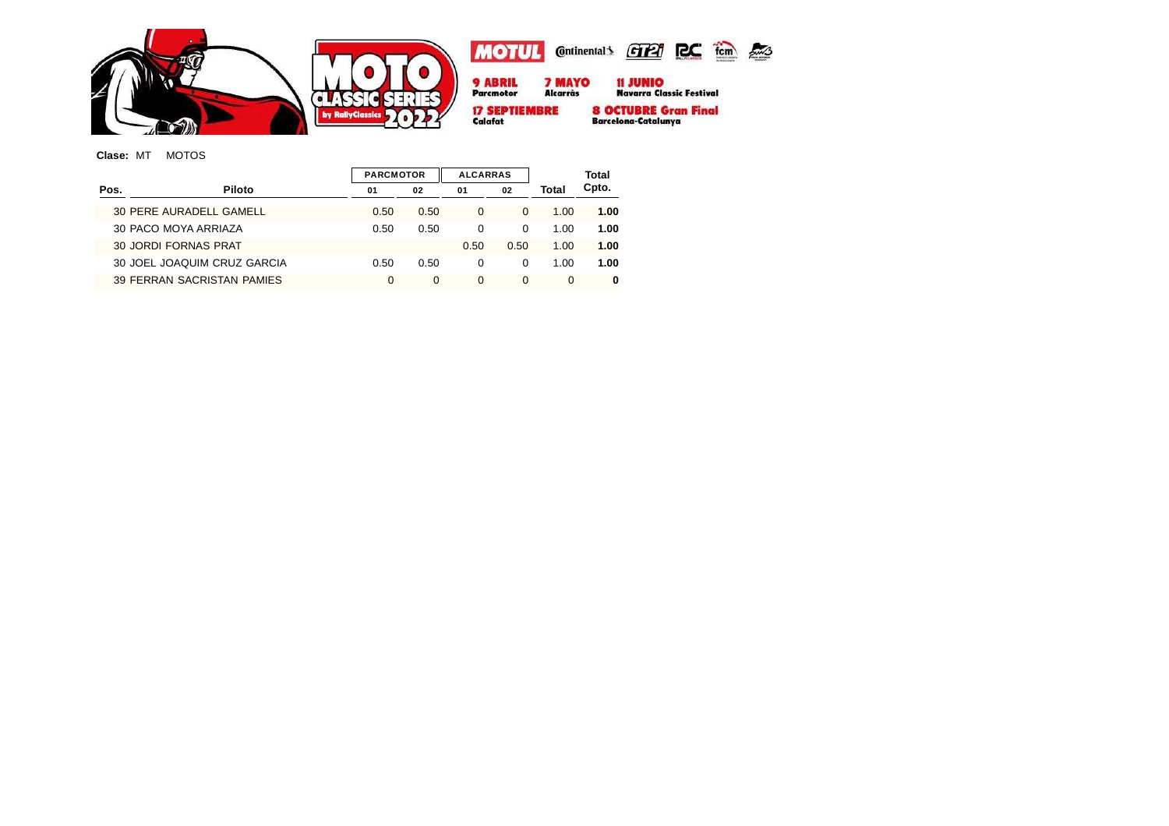

## **Clase:** MT MOTOS

|      |                             | <b>PARCMOTOR</b> |          | <b>ALCARRAS</b> |          |       | Total    |
|------|-----------------------------|------------------|----------|-----------------|----------|-------|----------|
| Pos. | Piloto                      | 01               | 02       | 01              | 02       | Total | Cpto.    |
|      | 30 PERE AURADELL GAMELL     | 0.50             | 0.50     | 0               | $\Omega$ | 1.00  | 1.00     |
|      | 30 PACO MOYA ARRIAZA        | 0.50             | 0.50     | 0               | $\Omega$ | 1.00  | 1.00     |
|      | 30 JORDI FORNAS PRAT        |                  |          | 0.50            | 0.50     | 1.00  | 1.00     |
|      | 30 JOEL JOAQUIM CRUZ GARCIA | 0.50             | 0.50     | 0               | 0        | 1.00  | 1.00     |
|      | 39 FERRAN SACRISTAN PAMIES  | 0                | $\Omega$ | $\Omega$        | 0        | 0     | $\Omega$ |
|      |                             |                  |          |                 |          |       |          |